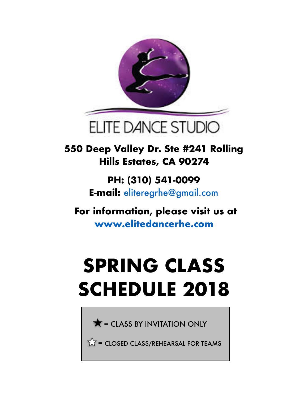

**550 Deep Valley Dr. Ste #241 Rolling Hills Estates, CA 90274** 

> **PH: (310) 541-0099 E-mail:** eliteregrhe@gmail.com

 **For information, please visit us at www.elitedancerhe.com** 

## **SPRING CLASS SCHEDULE 2018**

 $\bigstar$  = CLASS BY INVITATION ONLY

 $\sqrt{\sqrt{}}$  = CLOSED CLASS/REHEARSAL FOR TEAMS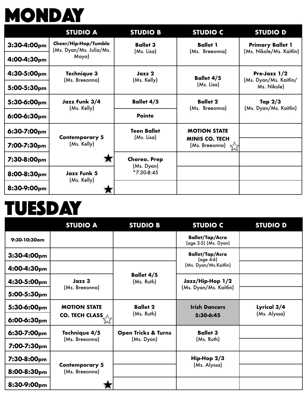## **MONDAY**

|                  | <b>STUDIO A</b>                                 | <b>STUDIO B</b>                                   | <b>STUDIO C</b>                                               | <b>STUDIO D</b>                                       |
|------------------|-------------------------------------------------|---------------------------------------------------|---------------------------------------------------------------|-------------------------------------------------------|
| $3:30-4:00pm$    | Cheer/Hip-Hop/Tumble<br>(Ms. Dyan/Ms. Julia/Ms. | <b>Ballet 3</b>                                   | <b>Ballet 1</b><br>(Ms. Breeonna)                             | <b>Primary Ballet 1</b><br>(Ms. Nikole/Ms. Kaitlin)   |
| 4:00-4:30pm      | Maya)                                           | (Ms. Lisa)                                        |                                                               |                                                       |
| 4:30-5:00pm      | Technique 3                                     | Jazz 2                                            | <b>Ballet 4/5</b>                                             | Pre-Jazz 1/2<br>(Ms. Dyan/Ms. Kaitlin/<br>Ms. Nikole) |
| 5:00-5:30pm      | (Ms. Breeonna)                                  | (Ms. Kelly)                                       | (Ms. Lisa)                                                    |                                                       |
| 5:30-6:00pm      | Jazz Funk 3/4<br>(Ms. Kelly)                    | <b>Ballet 4/5</b>                                 | <b>Ballet 2</b><br>(Ms. Breeonna)                             | Tap $2/3$<br>(Ms. Dyan/Ms. Kaitlin)                   |
| $6:00-6:30$ pm   |                                                 | <b>Pointe</b>                                     |                                                               |                                                       |
| $6:30 - 7:00$ pm | <b>Contemporary 5</b><br>(Ms. Kelly)            | <b>Teen Ballet</b><br>(Ms. Lisa)                  | <b>MOTION STATE</b>                                           |                                                       |
| 7:00-7:30pm      |                                                 |                                                   | <b>MINIS CO. TECH</b><br>(Ms. Breeonna) $\overrightarrow{\ }$ |                                                       |
| 7:30-8:00pm      | <b>Jazz Funk 5</b>                              | <b>Choreo. Prep</b><br>(Ms. Dyan)<br>$*7:30-8:45$ |                                                               |                                                       |
| 8:00-8:30pm      |                                                 |                                                   |                                                               |                                                       |
| 8:30-9:00pm      | (Ms. Kelly)                                     |                                                   |                                                               |                                                       |

## **TUESDAY**

|                | <b>STUDIO A</b>                              | <b>STUDIO B</b>                 | <b>STUDIO C</b>                                | <b>STUDIO D</b> |
|----------------|----------------------------------------------|---------------------------------|------------------------------------------------|-----------------|
| 9:30-10:30am   |                                              |                                 | <b>Ballet/Tap/Acro</b><br>(age 3-5) (Ms. Dyan) |                 |
| $3:30-4:00pm$  |                                              |                                 | <b>Ballet/Tap/Acro</b><br>$(\text{age } 4.6)$  |                 |
| 4:00-4:30pm    |                                              |                                 | (Ms. Dyan/Ms.Kaitlin)                          |                 |
| 4:30-5:00pm    | Jazz 3                                       | <b>Ballet 4/5</b><br>(Ms. Ruth) | Jazz/Hip-Hop 1/2<br>(Ms. Dyan/Ms. Kaitlin)     |                 |
| 5:00-5:30pm    | (Ms. Breeonna)                               |                                 |                                                |                 |
| 5:30-6:00pm    | <b>MOTION STATE</b><br><b>CO. TECH CLASS</b> | <b>Ballet 2</b><br>(Ms. Ruth)   | <b>Irish Dancers</b>                           | Lyrical 3/4     |
| $6:00-6:30$ pm |                                              |                                 | 5:30-6:45                                      | (Ms. Alyssa)    |
| 6:30-7:00pm    | Technique 4/5<br>(Ms. Breeonna)              | <b>Open Tricks &amp; Turns</b>  | <b>Ballet 3</b><br>(Ms. Ruth)                  |                 |
| 7:00-7:30pm    |                                              | (Ms. Dyan)                      |                                                |                 |
| 7:30-8:00pm    | <b>Contemporary 5</b><br>(Ms. Breeonna)      |                                 | Hip-Hop 2/3<br>(Ms. Alyssa)                    |                 |
| 8:00-8:30pm    |                                              |                                 |                                                |                 |
| 8:30-9:00pm    |                                              |                                 |                                                |                 |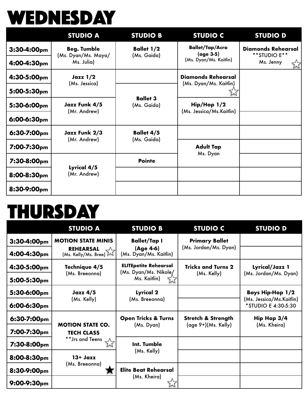## **WEDNESDAY**

|                         | <b>STUDIO A</b>                   | <b>STUDIO B</b>                  | <b>STUDIO C</b>                                     | <b>STUDIO D</b>                           |
|-------------------------|-----------------------------------|----------------------------------|-----------------------------------------------------|-------------------------------------------|
| 3:30-4:00pm             | <b>Beg. Tumble</b>                | <b>Ballet 1/2</b>                | <b>Ballet/Tap/Acro</b><br>(age 3-5)                 | <b>Diamonds Rehearsal</b><br>**STUDIO E** |
| 4:00-4:30pm             | (Ms. Dyan/Ms. Maya/<br>Ms. Julia) | (Ms. Gaida)                      | (Ms. Dyan/Ms. Kaitlin)                              | Ms. Jenny<br>$\breve{\times}$             |
| 4:30-5:00pm             | Java 1/2                          |                                  | <b>Diamonds Rehearsal</b><br>(Ms. Dyan/Ms. Kaitlin) |                                           |
| 5:00-5:30pm             | (Ms. Jessica)                     | <b>Ballet 3</b><br>(Ms. Gaida)   |                                                     |                                           |
| 5:30-6:00pm             | Jazz Funk 4/5<br>(Mr. Andrew)     |                                  | Hip/Hop 1/2<br>(Ms. Jessica/Ms.Kaitlin)             |                                           |
| 6:00-6:30pm             |                                   |                                  |                                                     |                                           |
| 6:30-7:00pm             | Jazz Funk 2/3<br>(Mr. Andrew)     | <b>Ballet 4/5</b><br>(Ms. Gaida) |                                                     |                                           |
| 7:00-7:30 <sub>pm</sub> |                                   |                                  | <b>Adult Tap</b><br>Ms. Dyan                        |                                           |
| $7:30-8:00$ pm          | Lyrical 4/5<br>(Mr. Andrew)       | <b>Pointe</b>                    |                                                     |                                           |
| 8:00-8:30pm             |                                   |                                  |                                                     |                                           |
| 8:30-9:00pm             |                                   |                                  |                                                     |                                           |

#### **THURSDAY**

|                  | <b>STUDIO A</b>                          | <b>STUDIO B</b>                       | <b>STUDIO C</b>               | <b>STUDIO D</b>                                 |
|------------------|------------------------------------------|---------------------------------------|-------------------------------|-------------------------------------------------|
| $3:30-4:00pm$    | <b>MOTION STATE MINIS</b>                | <b>Ballet/Tap I</b>                   | <b>Primary Ballet</b>         |                                                 |
| 4:00-4:30pm      | <b>REHEARSAL</b><br>(Ms. Kelly/Ms. Bree) | (Age 4-6)<br>(Ms. Dyan/Ms. Kaitlin)   | (Ms. Jordan/Ms. Dyan)         |                                                 |
| 4:30-5:00pm      | Technique 4/5                            | <b>ELITEpetite Rehearsal</b>          | <b>Tricks and Turns 2</b>     | Lyrical/Jazz 1<br>(Ms. Jordan/Ms. Dyan)         |
| 5:00-5:30pm      | (Ms. Breeonna)                           | (Ms. Dyan/Ms. Nikole/<br>Ms. Kaitlin) | (Ms. Kelly)                   |                                                 |
| 5:30-6:00pm      | <b>Jazz 4/5</b><br>(Ms. Kelly)           | Lyrical 2<br>(Ms. Breeonna)           |                               | <b>Boys Hip-Hop 1/2</b>                         |
| $6:00-6:30$ pm   |                                          |                                       |                               | (Ms. Jessica/Ms.Kaitlin)<br>*STUDIO E 4:30-5:30 |
| 6:30-7:00pm      | <b>MOTION STATE CO.</b>                  | <b>Open Tricks &amp; Turns</b>        | <b>Stretch &amp; Strength</b> | Hip Hop 3/4                                     |
| 7:00-7:30pm      | <b>TECH CLASS</b><br>** Jrs and Teens    | (Ms. Dyan)                            | (age 9+)(Ms. Kelly)           | (Ms. Kheira)                                    |
| 7:30-8:00pm      |                                          | Int. Tumble<br>(Ms. Kelly)            |                               |                                                 |
| 8:00-8:30pm      | $13 + Jqzz$                              |                                       |                               |                                                 |
| 8:30-9:00pm      | (Ms. Breeonna)                           | <b>Elite Beat Rehearsal</b>           |                               |                                                 |
| $9:00 - 9:30$ pm |                                          | (Ms. Kheira)                          |                               |                                                 |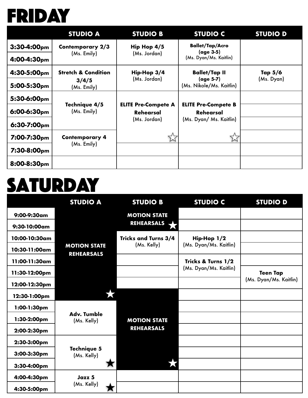

|                  | <b>STUDIO A</b>                | <b>STUDIO B</b>                                                | <b>STUDIO C</b>                                                           | <b>STUDIO D</b> |
|------------------|--------------------------------|----------------------------------------------------------------|---------------------------------------------------------------------------|-----------------|
| $3:30-4:00pm$    | Contemporary 2/3               | Hip Hop 4/5                                                    | <b>Ballet/Tap/Acro</b><br>(age 3-5)                                       |                 |
| $4:00-4:30pm$    | (Ms. Emily)                    | (Ms. Jordan)                                                   | (Ms. Dyan/Ms. Kaitlin)                                                    |                 |
| 4:30-5:00pm      | <b>Stretch &amp; Condition</b> | $Hip-Hop3/4$                                                   | <b>Ballet/Tap II</b>                                                      | Tap 5/6         |
| 5:00-5:30pm      | 3/4/5<br>(Ms. Emily)           | (Ms. Jordan)                                                   | (age 5-7)<br>(Ms. Nikole/Ms. Kaitlin)                                     | (Ms. Dyan)      |
| 5:30-6:00pm      | Technique 4/5<br>(Ms. Emily)   |                                                                |                                                                           |                 |
| $6:00-6:30$ pm   |                                | <b>ELITE Pre-Compete A</b><br><b>Rehearsal</b><br>(Ms. Jordan) | <b>ELITE Pre-Compete B</b><br><b>Rehearsal</b><br>(Ms. Dyan/ Ms. Kaitlin) |                 |
| $6:30 - 7:00$ pm |                                |                                                                |                                                                           |                 |
| 7:00-7:30pm      | <b>Contemporary 4</b>          |                                                                |                                                                           |                 |
| 7:30-8:00pm      | (Ms. Emily)                    |                                                                |                                                                           |                 |
| 8:00-8:30pm      |                                |                                                                |                                                                           |                 |

#### **SATURDAY**

|               | <b>STUDIO A</b>                          | <b>STUDIO B</b>             | <b>STUDIO C</b>                       | <b>STUDIO D</b>        |
|---------------|------------------------------------------|-----------------------------|---------------------------------------|------------------------|
| 9:00-9:30am   |                                          | <b>MOTION STATE</b>         |                                       |                        |
| 9:30-10:00am  |                                          | <b>REHEARSALS</b>           |                                       |                        |
| 10:00-10:30am |                                          | <b>Tricks and Turns 3/4</b> | Hip-Hop 1/2<br>(Ms. Dyan/Ms. Kaitlin) |                        |
| 10:30-11:00am | <b>MOTION STATE</b><br><b>REHEARSALS</b> | (Ms. Kelly)                 |                                       |                        |
| 11:00-11:30am |                                          |                             | Tricks & Turns 1/2                    |                        |
| 11:30-12:00pm |                                          |                             | (Ms. Dyan/Ms. Kaitlin)                | <b>Teen Tap</b>        |
| 12:00-12:30pm |                                          |                             |                                       | (Ms. Dyan/Ms. Kaitlin) |
| 12:30-1:00pm  |                                          |                             |                                       |                        |
| 1:00-1:30pm   | <b>Adv. Tumble</b><br>(Ms. Kelly)        |                             |                                       |                        |
| 1:30-2:00pm   |                                          | <b>MOTION STATE</b>         |                                       |                        |
| 2:00-2:30pm   |                                          | <b>REHEARSALS</b>           |                                       |                        |
| 2:30-3:00pm   | <b>Technique 5</b><br>(Ms. Kelly)        |                             |                                       |                        |
| 3:00-3:30pm   |                                          |                             |                                       |                        |
| 3:30-4:00pm   |                                          |                             |                                       |                        |
| 4:00-4:30pm   | Jazz 5<br>(Ms. Kelly)                    |                             |                                       |                        |
| 4:30-5:00pm   |                                          |                             |                                       |                        |